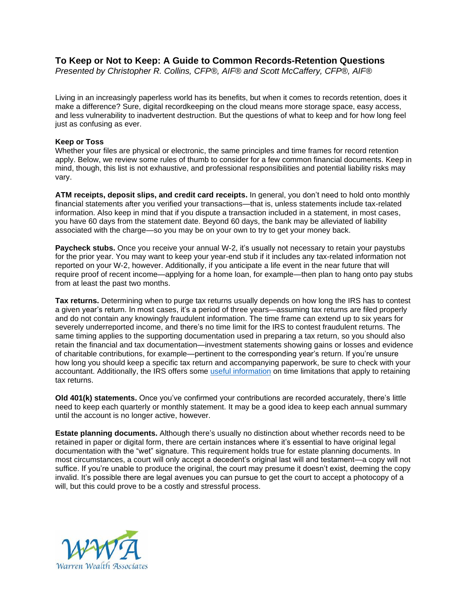## **To Keep or Not to Keep: A Guide to Common Records-Retention Questions**

*Presented by Christopher R. Collins, CFP®, AIF® and Scott McCaffery, CFP®, AIF®*

Living in an increasingly paperless world has its benefits, but when it comes to records retention, does it make a difference? Sure, digital recordkeeping on the cloud means more storage space, easy access, and less vulnerability to inadvertent destruction. But the questions of what to keep and for how long feel just as confusing as ever.

## **Keep or Toss**

Whether your files are physical or electronic, the same principles and time frames for record retention apply. Below, we review some rules of thumb to consider for a few common financial documents. Keep in mind, though, this list is not exhaustive, and professional responsibilities and potential liability risks may vary.

**ATM receipts, deposit slips, and credit card receipts.** In general, you don't need to hold onto monthly financial statements after you verified your transactions—that is, unless statements include tax-related information. Also keep in mind that if you dispute a transaction included in a statement, in most cases, you have 60 days from the statement date. Beyond 60 days, the bank may be alleviated of liability associated with the charge—so you may be on your own to try to get your money back.

**Paycheck stubs.** Once you receive your annual W-2, it's usually not necessary to retain your paystubs for the prior year. You may want to keep your year-end stub if it includes any tax-related information not reported on your W-2, however. Additionally, if you anticipate a life event in the near future that will require proof of recent income—applying for a home loan, for example—then plan to hang onto pay stubs from at least the past two months.

**Tax returns.** Determining when to purge tax returns usually depends on how long the IRS has to contest a given year's return. In most cases, it's a period of three years—assuming tax returns are filed properly and do not contain any knowingly fraudulent information. The time frame can extend up to six years for severely underreported income, and there's no time limit for the IRS to contest fraudulent returns. The same timing applies to the supporting documentation used in preparing a tax return, so you should also retain the financial and tax documentation—investment statements showing gains or losses and evidence of charitable contributions, for example—pertinent to the corresponding year's return. If you're unsure how long you should keep a specific tax return and accompanying paperwork, be sure to check with your accountant. Additionally, the IRS offers some [useful information](https://www.irs.gov/businesses/small-businesses-self-employed/how-long-should-i-keep-records) on time limitations that apply to retaining tax returns.

**Old 401(k) statements.** Once you've confirmed your contributions are recorded accurately, there's little need to keep each quarterly or monthly statement. It may be a good idea to keep each annual summary until the account is no longer active, however.

**Estate planning documents.** Although there's usually no distinction about whether records need to be retained in paper or digital form, there are certain instances where it's essential to have original legal documentation with the "wet" signature. This requirement holds true for estate planning documents. In most circumstances, a court will only accept a decedent's original last will and testament—a copy will not suffice. If you're unable to produce the original, the court may presume it doesn't exist, deeming the copy invalid. It's possible there are legal avenues you can pursue to get the court to accept a photocopy of a will, but this could prove to be a costly and stressful process.